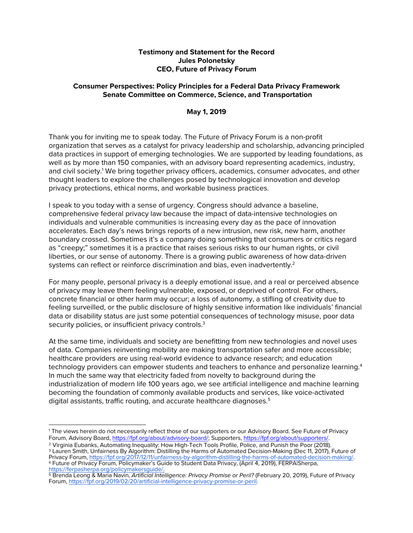## **Testimony and Statement for the Record Jules Polonetsky CEO, Future of Privacy Forum**

## **Consumer Perspectives: Policy Principles for a Federal Data Privacy Framework Senate Committee on Commerce, Science, and Transportation**

## **May 1, 2019**

Thank you for inviting me to speak today. The Future of Privacy Forum is a non-profit organization that serves as a catalyst for privacy leadership and scholarship, advancing principled data practices in support of emerging technologies. We are supported by leading foundations, as well as by more than 150 companies, with an advisory board representing academics, industry, and civil society.<sup>1</sup> We bring together privacy officers, academics, consumer advocates, and other thought leaders to explore the challenges posed by technological innovation and develop privacy protections, ethical norms, and workable business practices.

I speak to you today with a sense of urgency. Congress should advance a baseline, comprehensive federal privacy law because the impact of data-intensive technologies on individuals and vulnerable communities is increasing every day as the pace of innovation accelerates. Each day's news brings reports of a new intrusion, new risk, new harm, another boundary crossed. Sometimes it's a company doing something that consumers or critics regard as "creepy;" sometimes it is a practice that raises serious risks to our human rights, or civil liberties, or our sense of autonomy. There is a growing public awareness of how data-driven systems can reflect or reinforce discrimination and bias, even inadvertently.<sup>2</sup>

For many people, personal privacy is a deeply emotional issue, and a real or perceived absence of privacy may leave them feeling vulnerable, exposed, or deprived of control. For others, concrete financial or other harm may occur; a loss of autonomy, a stifling of creativity due to feeling surveilled, or the public disclosure of highly sensitive information like individuals' financial data or disability status are just some potential consequences of technology misuse, poor data security policies, or insufficient privacy controls.<sup>3</sup>

At the same time, individuals and society are benefitting from new technologies and novel uses of data. Companies reinventing mobility are making transportation safer and more accessible; healthcare providers are using real-world evidence to advance research; and education technology providers can empower students and teachers to enhance and personalize learning.<sup>4</sup> In much the same way that electricity faded from novelty to background during the industrialization of modern life 100 years ago, we see artificial intelligence and machine learning becoming the foundation of commonly available products and services, like voice-activated digital assistants, traffic routing, and accurate healthcare diagnoses.<sup>5</sup>

<sup>5</sup> Brenda Leong & Maria Navin, Artificial Intelligence: Privacy Promise or Peril? (February 20, 2019), Future of Privacy

 <sup>1</sup> The views herein do not necessarily reflect those of our supporters or our Advisory Board. See Future of Privacy Forum, Advisory Board, https://fpf.org/about/advisory-board/; Supporters, https://fpf.org/about/supporters/.

<sup>2</sup> Virginia Eubanks, Automating Inequality: How High-Tech Tools Profile, Police, and Punish the Poor (2018).

<sup>3</sup> Lauren Smith, Unfairness By Algorithm: Distilling the Harms of Automated Decision-Making (Dec 11, 2017), Future of Privacy Forum, https://fpf.org/2017/12/11/unfairness-by-algorithm-distilling-the-harms-of-automated-decision-making/.<br>4 Future of Privacy Forum, Policymaker's Guide to Student Data Privacy, (April 4, 2019), FERPA|Sherpa,<br>h

Forum, https://fpf.org/2019/02/20/artificial-intelligence-privacy-promise-or-peril.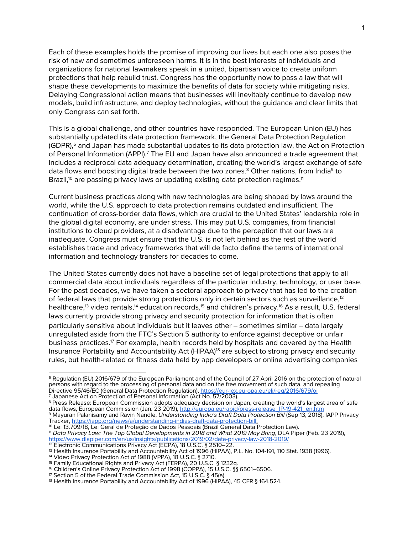Each of these examples holds the promise of improving our lives but each one also poses the risk of new and sometimes unforeseen harms. It is in the best interests of individuals and organizations for national lawmakers speak in a united, bipartisan voice to create uniform protections that help rebuild trust. Congress has the opportunity now to pass a law that will shape these developments to maximize the benefits of data for society while mitigating risks. Delaying Congressional action means that businesses will inevitably continue to develop new models, build infrastructure, and deploy technologies, without the guidance and clear limits that only Congress can set forth.

This is a global challenge, and other countries have responded. The European Union (EU) has substantially updated its data protection framework, the General Data Protection Regulation (GDPR),<sup>6</sup> and Japan has made substantial updates to its data protection law, the Act on Protection of Personal Information (APPI).<sup>7</sup> The EU and Japan have also announced a trade agreement that includes a reciprocal data adequacy determination, creating the world's largest exchange of safe data flows and boosting digital trade between the two zones.<sup>8</sup> Other nations, from India<sup>9</sup> to Brazil, $10$  are passing privacy laws or updating existing data protection regimes.<sup>11</sup>

Current business practices along with new technologies are being shaped by laws around the world, while the U.S. approach to data protection remains outdated and insufficient. The continuation of cross-border data flows, which are crucial to the United States' leadership role in the global digital economy, are under stress. This may put U.S. companies, from financial institutions to cloud providers, at a disadvantage due to the perception that our laws are inadequate. Congress must ensure that the U.S. is not left behind as the rest of the world establishes trade and privacy frameworks that will de facto define the terms of international information and technology transfers for decades to come.

The United States currently does not have a baseline set of legal protections that apply to all commercial data about individuals regardless of the particular industry, technology, or user base. For the past decades, we have taken a sectoral approach to privacy that has led to the creation of federal laws that provide strong protections only in certain sectors such as surveillance,<sup>12</sup> healthcare,<sup>13</sup> video rentals,<sup>14</sup> education records,<sup>15</sup> and children's privacy.<sup>16</sup> As a result, U.S. federal laws currently provide strong privacy and security protection for information that is often particularly sensitive about individuals but it leaves other - sometimes similar - data largely unregulated aside from the FTC's Section 5 authority to enforce against deceptive or unfair business practices.17 For example, health records held by hospitals and covered by the Health Insurance Portability and Accountability Act (HIPAA)<sup>18</sup> are subject to strong privacy and security rules, but health-related or fitness data held by app developers or online advertising companies

 <sup>6</sup> Regulation (EU) 2016/679 of the European Parliament and of the Council of 27 April 2016 on the protection of natural persons with regard to the processing of personal data and on the free movement of such data, and repealing Directive 95/46/EC (General Data Protection Regulation), https://eur-lex.europa.eu/eli/reg/2016/679/oj

<sup>&</sup>lt;sup>7</sup> Japanese Act on Protection of Personal Information (Act No. 57/2003).

<sup>8</sup> Press Release: European Commission adopts adequacy decision on Japan, creating the world's largest area of safe data flows, European Commission (Jan. 23 2019), http://europa.eu/rapid/press-release\_IP-19-421\_en.htm

<sup>9</sup> Mayuran Palanisamy and Ravin Nandle, *Understanding India's Draft Data Protection Bill* (Sep 13, 2018), IAPP Privacy

<sup>&</sup>lt;sup>10</sup> Lei 13.709/18, Lei Geral de Proteção de Dados Pessoais (Brazil General Data Protection Law).<br><sup>11</sup> Data Privacy Law: The Top Global Developments in 2018 and What 2019 May Bring, DLA Piper (Feb. 23 2019), https://www.dlapiper.com/en/us/insights/publications/2019/02/data-privacy-law-2018-2019/

<sup>&</sup>lt;sup>12</sup> Electronic Communications Privacy Act (ECPA), 18 U.S.C. § 2510-22.

<sup>13</sup> Health Insurance Portability and Accountability Act of 1996 (HIPAA), P.L. No. 104-191, 110 Stat. 1938 (1996).

<sup>14</sup> Video Privacy Protection Act of 1988 (VPPA), 18 U.S.C. § 2710.

<sup>15</sup> Family Educational Rights and Privacy Act (FERPA), 20 U.S.C. § 1232g.

<sup>16</sup> Children's Online Privacy Protection Act of 1998 (COPPA), 15 U.S.C. §§ 6501–6506.

<sup>17</sup> Section 5 of the Federal Trade Commission Act, 15 U.S.C. § 45(a).

<sup>18</sup> Health Insurance Portability and Accountability Act of 1996 (HIPAA), 45 CFR § 164.524.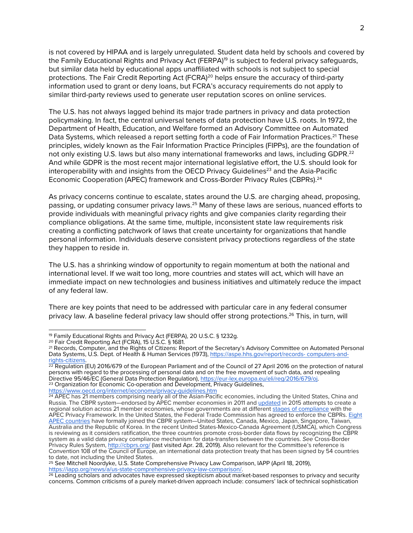is not covered by HIPAA and is largely unregulated. Student data held by schools and covered by the Family Educational Rights and Privacy Act (FERPA)<sup>19</sup> is subject to federal privacy safeguards, but similar data held by educational apps unaffiliated with schools is not subject to special protections. The Fair Credit Reporting Act (FCRA)<sup>20</sup> helps ensure the accuracy of third-party information used to grant or deny loans, but FCRA's accuracy requirements do not apply to similar third-party reviews used to generate user reputation scores on online services.

The U.S. has not always lagged behind its major trade partners in privacy and data protection policymaking. In fact, the central universal tenets of data protection have U.S. roots. In 1972, the Department of Health, Education, and Welfare formed an Advisory Committee on Automated Data Systems, which released a report setting forth a code of Fair Information Practices.<sup>21</sup> These principles, widely known as the Fair Information Practice Principles (FIPPs), are the foundation of not only existing U.S. laws but also many international frameworks and laws, including GDPR.<sup>22</sup> And while GDPR is the most recent major international legislative effort, the U.S. should look for interoperability with and insights from the OECD Privacy Guidelines<sup>23</sup> and the Asia-Pacific Economic Cooperation (APEC) framework and Cross-Border Privacy Rules (CBPRs).<sup>24</sup>

As privacy concerns continue to escalate, states around the U.S. are charging ahead, proposing, passing, or updating consumer privacy laws.25 Many of these laws are serious, nuanced efforts to provide individuals with meaningful privacy rights and give companies clarity regarding their compliance obligations. At the same time, multiple, inconsistent state law requirements risk creating a conflicting patchwork of laws that create uncertainty for organizations that handle personal information. Individuals deserve consistent privacy protections regardless of the state they happen to reside in.

The U.S. has a shrinking window of opportunity to regain momentum at both the national and international level. If we wait too long, more countries and states will act, which will have an immediate impact on new technologies and business initiatives and ultimately reduce the impact of any federal law.

There are key points that need to be addressed with particular care in any federal consumer privacy law. A baseline federal privacy law should offer strong protections. <sup>26</sup> This, in turn, will

https://www.oecd.org/internet/ieconomy/privacy-guidelines.htm

<sup>&</sup>lt;sup>19</sup> Family Educational Rights and Privacy Act (FERPA), 20 U.S.C. § 1232g.

<sup>20</sup> Fair Credit Reporting Act (FCRA), 15 U.S.C. § 1681.

<sup>&</sup>lt;sup>21</sup> Records, Computer, and the Rights of Citizens: Report of the Secretary's Advisory Committee on Automated Personal<br>Data Systems, U.S. Dept. of Health & Human Services (1973), https://aspe.hhs.gov/report/records-compute Data Systems, U.S. Dept. of Health & Human Services (1973), <u>https://aspe.hhs.gov/report/records- computers-and-</u><br><u>rights-citizens</u>.

 $22$  Regulation (EU) 2016/679 of the European Parliament and of the Council of 27 April 2016 on the protection of natural persons with regard to the processing of personal data and on the free movement of such data, and repealing Directive 95/46/EC (General Data Protection Regulation), https://eur-lex.europa.eu/eli/reg/2016/679/oj.<br><sup>23</sup> Organization for Economic Co-operation and Development, Privacy Guidelines,

<sup>&</sup>lt;sup>24</sup> APEC has 21 members comprising nearly all of the Asian-Pacific economies, including the United States, China and Russia. The CBPR system—endorsed by APEC member economies in 2011 and updated in 2015 attempts to create a regional solution across 21 member economies, whose governments are at different stages of compliance with the APEC Privacy Framework. In the United States, the Federal Trade Commission has agreed to enforce the CBPRs. Eight APEC countries have formally joined the CBPR system—United States, Canada, Mexico, Japan, Singapore, Taiwan, Australia and the Republic of Korea. In the recent United States-Mexico-Canada Agreement (USMCA), which Congress is reviewing as it considers ratification, the three countries promote cross-border data flows by recognizing the CBPR system as a valid data privacy compliance mechanism for data-transfers between the countries. *See* Cross-Border Privacy Rules System, http://cbprs.org/ (last visited Apr. 28, 2019). Also relevant for the Committee's reference is Convention 108 of the Council of Europe, an international data protection treaty that has been signed by 54 countries to date, not including the United States.

<sup>&</sup>lt;sup>25</sup> See Mitchell Noordyke, U.S. State Comprehensive Privacy Law Comparison, IAPP (April 18, 2019), https://iapp.org/news/a/us-state-comprehensive-privacy-law-comparison/.

https://iapp.org/news/a/us-state-compressor-law-comparison-law-comparison-law-comparison-law-comparison-law-co<br><sup>26</sup> Leading scholars and advocates have expressed skepticism about market-based responses to privacy and secur concerns. Common criticisms of a purely market-driven approach include: consumers' lack of technical sophistication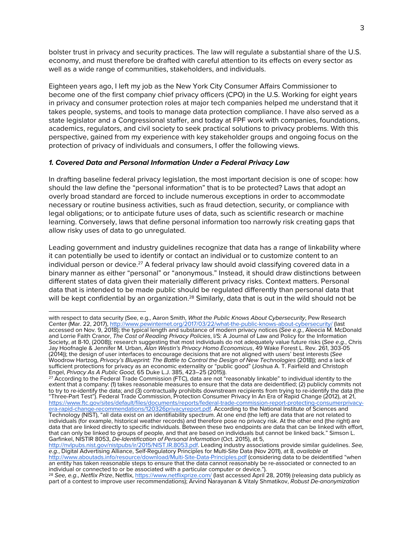bolster trust in privacy and security practices. The law will regulate a substantial share of the U.S. economy, and must therefore be drafted with careful attention to its effects on every sector as well as a wide range of communities, stakeholders, and individuals.

Eighteen years ago, I left my job as the New York City Consumer Affairs Commissioner to become one of the first company chief privacy officers (CPO) in the U.S. Working for eight years in privacy and consumer protection roles at major tech companies helped me understand that it takes people, systems, and tools to manage data protection compliance. I have also served as a state legislator and a Congressional staffer, and today at FPF work with companies, foundations, academics, regulators, and civil society to seek practical solutions to privacy problems. With this perspective, gained from my experience with key stakeholder groups and ongoing focus on the protection of privacy of individuals and consumers, I offer the following views.

## *1. Covered Data and Personal Information Under a Federal Privacy Law*

In drafting baseline federal privacy legislation, the most important decision is one of scope: how should the law define the "personal information" that is to be protected? Laws that adopt an overly broad standard are forced to include numerous exceptions in order to accommodate necessary or routine business activities, such as fraud detection, security, or compliance with legal obligations; or to anticipate future uses of data, such as scientific research or machine learning. Conversely, laws that define personal information too narrowly risk creating gaps that allow risky uses of data to go unregulated.

Leading government and industry guidelines recognize that data has a range of linkability where it can potentially be used to identify or contact an individual or to customize content to an individual person or device.<sup>27</sup> A federal privacy law should avoid classifying covered data in a binary manner as either "personal" or "anonymous." Instead, it should draw distinctions between different states of data given their materially different privacy risks. Context matters. Personal data that is intended to be made public should be regulated differently than personal data that will be kept confidential by an organization.<sup>28</sup> Similarly, data that is out in the wild should not be

with respect to data security (See, e.g., Aaron Smith, *What the Public Knows About Cybersecurity*, Pew Research Center (Mar. 22, 2017), http://www.pewinternet.org/2017/03/22/what-the-public-knows-about-cybersecurity/ (last accessed on Nov. 9, 2018); the typical length and substance of modern privacy notices (*See e.g.*, Aleecia M. McDonald and Lorrie Faith Cranor, *The Cost of Reading Privacy Policies*, I/S: A Journal of Law and Policy for the Information Society, at 8-10, (2008)); research suggesting that most individuals do not adequately value future risks (*See e.g.*, Chris Jay Hoofnagle & Jennifer M. Urban, *Alan Westin's Privacy Homo Economicus*, 49 Wake Forest L. Rev. 261, 303-05 (2014)); the design of user interfaces to encourage decisions that are not aligned with users' best interests (*See* Woodrow Hartzog, *Privacy's Blueprint: The Battle to Control the Design of New Technologies* (2018)); and a lack of sufficient protections for privacy as an economic externality or "public good" (Joshua A. T. Fairfield and Christoph Engel, *Privacy As A Public Good*, 65 Duke L.J. 385, 423–25 (2015)).

<sup>&</sup>lt;sup>27</sup> According to the Federal Trade Commission (FTC), data are not "reasonably linkable" to individual identity to the extent that a company: (1) takes reasonable measures to ensure that the data are deidentified; (2) publicly commits not to try to re-identify the data; and (3) contractually prohibits downstream recipients from trying to re-identify the data (the "Three-Part Test"). Federal Trade Commission, Protection Consumer Privacy In An Era of Rapid Change (2012), at 21,<br>https://www.ftc.gov/sites/default/files/documents/reports/federal-trade-commission-report-protecting-consum

https://www.ftc.gov/sites/default/files/documents/reports/federal-trade-commission-report-protecting-consumerprivacy-<br>era-rapid-change-recommendations/120326privacyreport.pdf. According to the National Institute of Science Technology (NIST), "all data exist on an identifiability spectrum. At one end (the left) are data that are not related to individuals (for example, historical weather records) and therefore pose no privacy risk. At the other end (the right) are data that are linked directly to specific individuals. Between these two endpoints are data that can be linked with effort, that can only be linked to groups of people, and that are based on individuals but cannot be linked back." Simson L. Garfinkel, NISTIR 8053, *De-Identification of Personal Information* (Oct. 2015), at 5,

http://nvlpubs.nist.gov/nistpubs/ir/2015/NIST.IR.8053.pdf. Leading industry associations provide similar guidelines. *See, e.g.*, Digital Advertising Alliance, Self-Regulatory Principles for Multi-Site Data (Nov 2011), at 8, *available at*  http://www.aboutads.info/resource/download/Multi-Site-Data-Principles.pdf (considering data to be deidentified "when an entity has taken reasonable steps to ensure that the data cannot reasonably be re-associated or connected to an individual or connected to or be associated with a particular computer or device.").

<sup>28</sup> *See, e.g*., *Netflix Prize*, Netflix, https://www.netflixprize.com/ (last accessed April 28, 2019) (releasing data publicly as part of a contest to improve user recommendations); Arvind Narayanan & Vitaly Shmatikov, *Robust De-anonymization*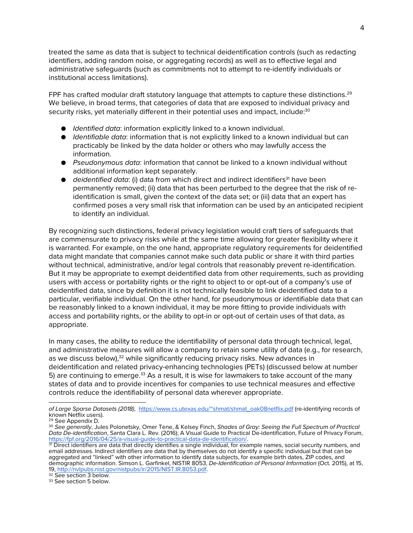treated the same as data that is subject to technical deidentification controls (such as redacting identifiers, adding random noise, or aggregating records) as well as to effective legal and administrative safeguards (such as commitments not to attempt to re-identify individuals or institutional access limitations).

FPF has crafted modular draft statutory language that attempts to capture these distinctions.<sup>29</sup> We believe, in broad terms, that categories of data that are exposed to individual privacy and security risks, yet materially different in their potential uses and impact, include:<sup>30</sup>

- *Identified data*: information explicitly linked to a known individual.
- *Identifiable data*: information that is not explicitly linked to a known individual but can practicably be linked by the data holder or others who may lawfully access the information.
- *Pseudonymous data*: information that cannot be linked to a known individual without additional information kept separately.
- *deidentified data*: (i) data from which direct and indirect identifiers<sup>31</sup> have been permanently removed; (ii) data that has been perturbed to the degree that the risk of reidentification is small, given the context of the data set; or (iii) data that an expert has confirmed poses a very small risk that information can be used by an anticipated recipient to identify an individual.

By recognizing such distinctions, federal privacy legislation would craft tiers of safeguards that are commensurate to privacy risks while at the same time allowing for greater flexibility where it is warranted. For example, on the one hand, appropriate regulatory requirements for deidentified data might mandate that companies cannot make such data public or share it with third parties without technical, administrative, and/or legal controls that reasonably prevent re-identification. But it may be appropriate to exempt deidentified data from other requirements, such as providing users with access or portability rights or the right to object to or opt-out of a company's use of deidentified data, since by definition it is not technically feasible to link deidentified data to a particular, verifiable individual. On the other hand, for pseudonymous or identifiable data that can be reasonably linked to a known individual, it may be more fitting to provide individuals with access and portability rights, or the ability to opt-in or opt-out of certain uses of that data, as appropriate.

In many cases, the ability to reduce the identifiability of personal data through technical, legal, and administrative measures will allow a company to retain some utility of data (e.g., for research, as we discuss below),<sup>32</sup> while significantly reducing privacy risks. New advances in deidentification and related privacy-enhancing technologies (PETs) (discussed below at number 5) are continuing to emerge.<sup>33</sup> As a result, it is wise for lawmakers to take account of the many states of data and to provide incentives for companies to use technical measures and effective controls reduce the identifiability of personal data wherever appropriate.

*of Large Sparse Datasets (2018)*, https://www.cs.utexas.edu/~shmat/shmat\_oak08netflix.pdf (re-identifying records of known Netflix users).

<sup>29</sup> See Appendix D.

<sup>30</sup> *See generally*, Jules Polonetsky, Omer Tene, & Kelsey Finch, *Shades of Gray: Seeing the Full Spectrum of Practical Data De-identification*, Santa Clara L. Rev. (2016); A Visual Guide to Practical De-identification, Future of Privacy Forum, https://fpf.org/2016/04/25/a-visual-guide-to-practical-data-de-identification/.

<sup>31</sup> Direct identifiers are data that directly identifies a single individual, for example names, social security numbers, and email addresses. Indirect identifiers are data that by themselves do not identify a specific individual but that can be aggregated and "linked" with other information to identify data subjects, for example birth dates, ZIP codes, and demographic information. Simson L. Garfinkel, NISTIR 8053, *De-Identification of Personal Information* (Oct. 2015), at 15, 19, http://nvlpubs.nist.gov/nistpubs/ir/2015/NIST.IR.8053.pdf. 32 See section 3 below.

<sup>&</sup>lt;sup>33</sup> See section 5 below.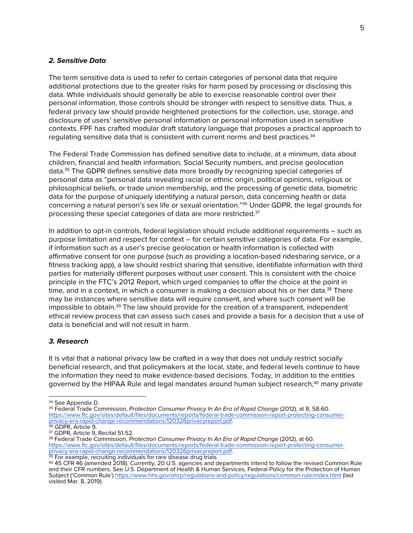### *2. Sensitive Data*

The term sensitive data is used to refer to certain categories of personal data that require additional protections due to the greater risks for harm posed by processing or disclosing this data. While individuals should generally be able to exercise reasonable control over their personal information, those controls should be stronger with respect to sensitive data. Thus, a federal privacy law should provide heightened protections for the collection, use, storage, and disclosure of users' sensitive personal information or personal information used in sensitive contexts. FPF has crafted modular draft statutory language that proposes a practical approach to regulating sensitive data that is consistent with current norms and best practices.34

The Federal Trade Commission has defined sensitive data to include, at a minimum, data about children, financial and health information, Social Security numbers, and precise geolocation data.35 The GDPR defines sensitive data more broadly by recognizing special categories of personal data as "personal data revealing racial or ethnic origin, political opinions, religious or philosophical beliefs, or trade union membership, and the processing of genetic data, biometric data for the purpose of uniquely identifying a natural person, data concerning health or data concerning a natural person's sex life or sexual orientation."36 Under GDPR, the legal grounds for processing these special categories of data are more restricted.<sup>37</sup>

In addition to opt-in controls, federal legislation should include additional requirements – such as purpose limitation and respect for context – for certain sensitive categories of data. For example, if information such as a user's precise geolocation or health information is collected with affirmative consent for one purpose (such as providing a location-based ridesharing service, or a fitness tracking app), a law should restrict sharing that sensitive, identifiable information with third parties for materially different purposes without user consent. This is consistent with the choice principle in the FTC's 2012 Report, which urged companies to offer the choice at the point in time, and in a context, in which a consumer is making a decision about his or her data.<sup>38</sup> There may be instances where sensitive data will require consent, and where such consent will be impossible to obtain.39 The law should provide for the creation of a transparent, independent ethical review process that can assess such cases and provide a basis for a decision that a use of data is beneficial and will not result in harm.

#### *3. Research*

It is vital that a national privacy law be crafted in a way that does not unduly restrict socially beneficial research, and that policymakers at the local, state, and federal levels continue to have the information they need to make evidence-based decisions. Today, in addition to the entities governed by the HIPAA Rule and legal mandates around human subject research,<sup>40</sup> many private

<sup>40</sup> 45 CFR 46 (amended 2018). Currently, 20 U.S. agencies and departments intend to follow the revised Common Rule and their CFR numbers. See U.S. Department of Health & Human Services, Federal Policy for the Protection of Human Subject ('Common Rule') https://www.hhs.gov/ohrp/regulations-and-policy/regulations/common-rule/index.html (last visited Mar. 8, 2019).

<sup>&</sup>lt;sup>34</sup> See Appendix D.<br><sup>35</sup> Federal Trade Commission, *Protection Consumer Privacy In An Era of Rapid Change (2012*), at 8, 58-60. https://www.ftc.gov/sites/default/files/documents/reports/federal-trade-commission-report-protecting-consumer-<br>privacy-era-rapid-change-recommendations/120326privacyreport.pdf.<br><sup>36</sup> GDPR. Article 9.

<sup>&</sup>lt;sup>37</sup> GDPR, Article 9, Recital 51-52.<br><sup>38</sup> Federal Trade Commission, *Protection Consumer Privacy In An Era of Rapid Change (*2012), at 60. https://www.ftc.gov/sites/default/files/documents/reports/federal-trade-commission-report-protecting-consumer- privacy-era-rapid-change-recommendations/120326privacyreport.pdf. <sup>39</sup> For example, recruiting individuals for rare disease drug trials.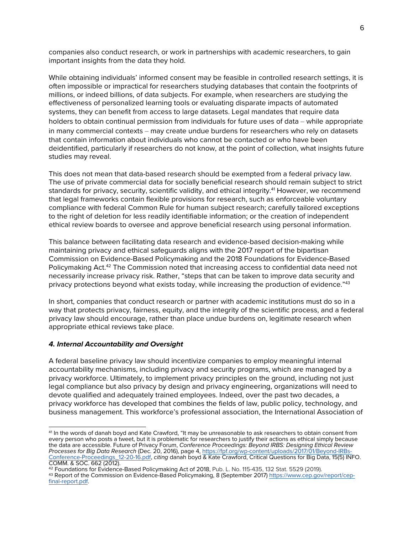companies also conduct research, or work in partnerships with academic researchers, to gain important insights from the data they hold.

While obtaining individuals' informed consent may be feasible in controlled research settings, it is often impossible or impractical for researchers studying databases that contain the footprints of millions, or indeed billions, of data subjects. For example, when researchers are studying the effectiveness of personalized learning tools or evaluating disparate impacts of automated systems, they can benefit from access to large datasets. Legal mandates that require data holders to obtain continual permission from individuals for future uses of data – while appropriate in many commercial contexts – may create undue burdens for researchers who rely on datasets that contain information about individuals who cannot be contacted or who have been deidentified, particularly if researchers do not know, at the point of collection, what insights future studies may reveal.

This does not mean that data-based research should be exempted from a federal privacy law. The use of private commercial data for socially beneficial research should remain subject to strict standards for privacy, security, scientific validity, and ethical integrity.<sup>41</sup> However, we recommend that legal frameworks contain flexible provisions for research, such as enforceable voluntary compliance with federal Common Rule for human subject research; carefully tailored exceptions to the right of deletion for less readily identifiable information; or the creation of independent ethical review boards to oversee and approve beneficial research using personal information.

This balance between facilitating data research and evidence-based decision-making while maintaining privacy and ethical safeguards aligns with the 2017 report of the bipartisan Commission on Evidence-Based Policymaking and the 2018 Foundations for Evidence-Based Policymaking Act.<sup>42</sup> The Commission noted that increasing access to confidential data need not necessarily increase privacy risk. Rather, "steps that can be taken to improve data security and privacy protections beyond what exists today, while increasing the production of evidence."<sup>43</sup>

In short, companies that conduct research or partner with academic institutions must do so in a way that protects privacy, fairness, equity, and the integrity of the scientific process, and a federal privacy law should encourage, rather than place undue burdens on, legitimate research when appropriate ethical reviews take place.

## *4. Internal Accountability and Oversight*

A federal baseline privacy law should incentivize companies to employ meaningful internal accountability mechanisms, including privacy and security programs, which are managed by a privacy workforce. Ultimately, to implement privacy principles on the ground, including not just legal compliance but also privacy by design and privacy engineering, organizations will need to devote qualified and adequately trained employees. Indeed, over the past two decades, a privacy workforce has developed that combines the fields of law, public policy, technology, and business management. This workforce's professional association, the International Association of

 <sup>41</sup> In the words of danah boyd and Kate Crawford, "It may be unreasonable to ask researchers to obtain consent from every person who posts a tweet, but it is problematic for researchers to justify their actions as ethical simply because the data are accessible. Future of Privacy Forum, *Conference Proceedings: Beyond IRBS: Designing Ethical Review*  Conference-Proceedings\_12-20-16.pdf, citing danah boyd & Kate Crawford, Critical Questions for Big Data, 15(5) INFO. COMM. & SOC. 662 (2012).

<sup>42</sup> Foundations for Evidence-Based Policymaking Act of 2018, Pub. L. No. 115-435, 132 Stat. 5529 (2019).

<sup>&</sup>lt;sup>43</sup> Report of the Commission on Evidence-Based Policymaking, 8 (September 2017) <u>https://www.cep.gov/report/cep-</u><br>final-report.pdf.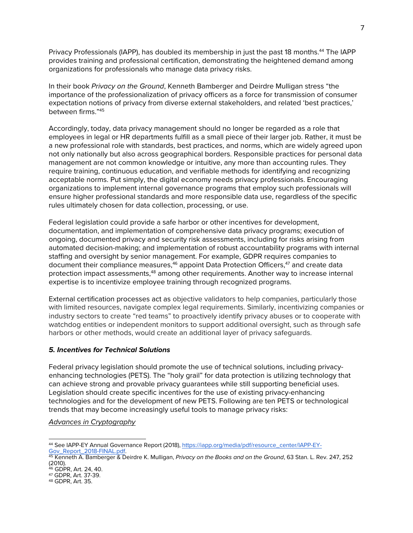Privacy Professionals (IAPP), has doubled its membership in just the past 18 months.<sup>44</sup> The IAPP provides training and professional certification, demonstrating the heightened demand among organizations for professionals who manage data privacy risks.

In their book *Privacy on the Ground*, Kenneth Bamberger and Deirdre Mulligan stress "the importance of the professionalization of privacy officers as a force for transmission of consumer expectation notions of privacy from diverse external stakeholders, and related 'best practices,' between firms."45

Accordingly, today, data privacy management should no longer be regarded as a role that employees in legal or HR departments fulfill as a small piece of their larger job. Rather, it must be a new professional role with standards, best practices, and norms, which are widely agreed upon not only nationally but also across geographical borders. Responsible practices for personal data management are not common knowledge or intuitive, any more than accounting rules. They require training, continuous education, and verifiable methods for identifying and recognizing acceptable norms. Put simply, the digital economy needs privacy professionals. Encouraging organizations to implement internal governance programs that employ such professionals will ensure higher professional standards and more responsible data use, regardless of the specific rules ultimately chosen for data collection, processing, or use.

Federal legislation could provide a safe harbor or other incentives for development, documentation, and implementation of comprehensive data privacy programs; execution of ongoing, documented privacy and security risk assessments, including for risks arising from automated decision-making; and implementation of robust accountability programs with internal staffing and oversight by senior management. For example, GDPR requires companies to document their compliance measures,<sup>46</sup> appoint Data Protection Officers,<sup>47</sup> and create data protection impact assessments,<sup>48</sup> among other requirements. Another way to increase internal expertise is to incentivize employee training through recognized programs.

External certification processes act as objective validators to help companies, particularly those with limited resources, navigate complex legal requirements. Similarly, incentivizing companies or industry sectors to create "red teams" to proactively identify privacy abuses or to cooperate with watchdog entities or independent monitors to support additional oversight, such as through safe harbors or other methods, would create an additional layer of privacy safeguards.

## *5. Incentives for Technical Solutions*

Federal privacy legislation should promote the use of technical solutions, including privacyenhancing technologies (PETS). The "holy grail" for data protection is utilizing technology that can achieve strong and provable privacy guarantees while still supporting beneficial uses. Legislation should create specific incentives for the use of existing privacy-enhancing technologies and for the development of new PETS. Following are ten PETS or technological trends that may become increasingly useful tools to manage privacy risks:

*Advances in Cryptography*

<sup>&</sup>lt;sup>44</sup> See IAPP-EY Annual Governance Report (2018), <u>https://iapp.org/media/pdf/resource\_center/IAPP-EY-</u><br><u>Gov\_Report\_2018-FINAL.pdf</u>.<br><sup>45</sup> Kenneth A. Bamberger & Deirdre K. Mulligan, *Privacy on the Books and on the Ground* 

<sup>(2010).</sup> <sup>46</sup> GDPR, Art. 24, 40.

<sup>47</sup> GDPR, Art. 37-39. 48 GDPR, Art. 35.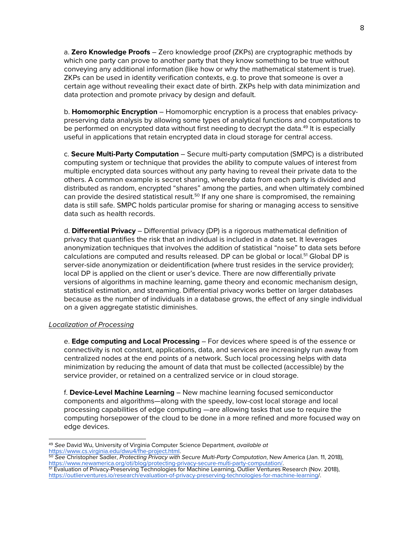a. **Zero Knowledge Proofs** – Zero knowledge proof (ZKPs) are cryptographic methods by which one party can prove to another party that they know something to be true without conveying any additional information (like how or why the mathematical statement is true). ZKPs can be used in identity verification contexts, e.g. to prove that someone is over a certain age without revealing their exact date of birth. ZKPs help with data minimization and data protection and promote privacy by design and default.

b. **Homomorphic Encryption** – Homomorphic encryption is a process that enables privacypreserving data analysis by allowing some types of analytical functions and computations to be performed on encrypted data without first needing to decrypt the data.<sup>49</sup> It is especially useful in applications that retain encrypted data in cloud storage for central access.

c. **Secure Multi-Party Computation** – Secure multi-party computation (SMPC) is a distributed computing system or technique that provides the ability to compute values of interest from multiple encrypted data sources without any party having to reveal their private data to the others. A common example is secret sharing, whereby data from each party is divided and distributed as random, encrypted "shares" among the parties, and when ultimately combined can provide the desired statistical result.<sup>50</sup> If any one share is compromised, the remaining data is still safe. SMPC holds particular promise for sharing or managing access to sensitive data such as health records.

d. **Differential Privacy** – Differential privacy (DP) is a rigorous mathematical definition of privacy that quantifies the risk that an individual is included in a data set. It leverages anonymization techniques that involves the addition of statistical "noise" to data sets before calculations are computed and results released. DP can be global or local.<sup>51</sup> Global DP is server-side anonymization or deidentification (where trust resides in the service provider); local DP is applied on the client or user's device. There are now differentially private versions of algorithms in machine learning, game theory and economic mechanism design, statistical estimation, and streaming. Differential privacy works better on larger databases because as the number of individuals in a database grows, the effect of any single individual on a given aggregate statistic diminishes.

## *Localization of Processing*

e. **Edge computing and Local Processing** – For devices where speed is of the essence or connectivity is not constant, applications, data, and services are increasingly run away from centralized nodes at the end points of a network. Such local processing helps with data minimization by reducing the amount of data that must be collected (accessible) by the service provider, or retained on a centralized service or in cloud storage.

f. **Device-Level Machine Learning** – New machine learning focused semiconductor components and algorithms—along with the speedy, low-cost local storage and local processing capabilities of edge computing —are allowing tasks that use to require the computing horsepower of the cloud to be done in a more refined and more focused way on edge devices.

 <sup>49</sup> *See* David Wu, University of Virginia Computer Science Department, *available at* https://www.cs.virginia.edu/dwu4/fhe-project.html.

<sup>50</sup> *See* Christopher Sadler, *Protecting Privacy with Secure Multi-Party Computation*, New America (Jan. 11, 2018), https://www.newamerica.org/oti/blog/protecting-privacy-secure-multi-party-computation/. <sup>51</sup> Evaluation of Privacy-Preserving Technologies for Machine Learning, Outlier Ventures Research (Nov. 2018),

https://outlierventures.io/research/evaluation-of-privacy-preserving-technologies-for-machine-learning/.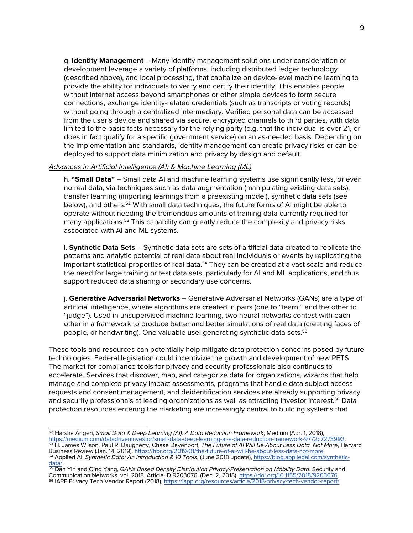g. **Identity Management** – Many identity management solutions under consideration or development leverage a variety of platforms, including distributed ledger technology (described above), and local processing, that capitalize on device-level machine learning to provide the ability for individuals to verify and certify their identify. This enables people without internet access beyond smartphones or other simple devices to form secure connections, exchange identity-related credentials (such as transcripts or voting records) without going through a centralized intermediary. Verified personal data can be accessed from the user's device and shared via secure, encrypted channels to third parties, with data limited to the basic facts necessary for the relying party (e.g. that the individual is over 21, or does in fact qualify for a specific government service) on an as-needed basis. Depending on the implementation and standards, identity management can create privacy risks or can be deployed to support data minimization and privacy by design and default.

#### *Advances in Artificial Intelligence (AI) & Machine Learning (ML)*

h. **"Small Data"** – Small data AI and machine learning systems use significantly less, or even no real data, via techniques such as data augmentation (manipulating existing data sets), transfer learning (importing learnings from a preexisting model), synthetic data sets (see below), and others.52 With small data techniques, the future forms of AI might be able to operate without needing the tremendous amounts of training data currently required for many applications.53 This capability can greatly reduce the complexity and privacy risks associated with AI and ML systems.

i. **Synthetic Data Sets** – Synthetic data sets are sets of artificial data created to replicate the patterns and analytic potential of real data about real individuals or events by replicating the important statistical properties of real data.<sup>54</sup> They can be created at a vast scale and reduce the need for large training or test data sets, particularly for AI and ML applications, and thus support reduced data sharing or secondary use concerns.

j. **Generative Adversarial Networks** – Generative Adversarial Networks (GANs) are a type of artificial intelligence, where algorithms are created in pairs (one to "learn," and the other to "judge"). Used in unsupervised machine learning, two neural networks contest with each other in a framework to produce better and better simulations of real data (creating faces of people, or handwriting). One valuable use: generating synthetic data sets.<sup>55</sup>

These tools and resources can potentially help mitigate data protection concerns posed by future technologies. Federal legislation could incentivize the growth and development of new PETS. The market for compliance tools for privacy and security professionals also continues to accelerate. Services that discover, map, and categorize data for organizations, wizards that help manage and complete privacy impact assessments, programs that handle data subject access requests and consent management, and deidentification services are already supporting privacy and security professionals at leading organizations as well as attracting investor interest.<sup>56</sup> Data protection resources entering the marketing are increasingly central to building systems that

 <sup>52</sup> Harsha Angeri, *Small Data & Deep Learning (AI): A Data Reduction Framework*, Medium (Apr. 1, 2018), https://medium.com/datadriveninvestor/small-data-deep-learning-ai-a-data-reduction-framework-9772c7273992. <sup>53</sup> H. James Wilson, Paul R. Daugherty, Chase Davenport, *The Future of AI Will Be About Less Data, Not More*, Harvard Business Review (Jan. 14, 2019), https://hbr.org/2019/01/the-future-of-ai-will-be-about-less-data-not-more.

<sup>&</sup>lt;sup>54</sup> Applied AI, *Synthetic Data: An Introduction & 10 Tools*, (June 2018 update), <u>https://blog.appliedai.com/synthetic-</u><br>data/.

<sup>55</sup> Dan Yin and Qing Yang, *GANs Based Density Distribution Privacy-Preservation on Mobility Data*, Security and Communication Networks, vol. 2018, Article ID 9203076, (Dec. 2, 2018), https://doi.org/10.1155/2018/9203076. <sup>56</sup> IAPP Privacy Tech Vendor Report (2018), https://iapp.org/resources/article/2018-privacy-tech-vendor-report/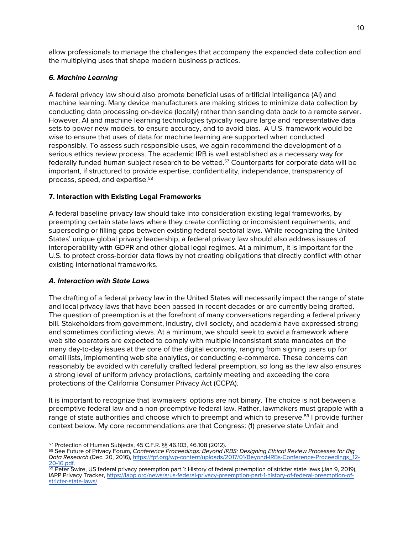allow professionals to manage the challenges that accompany the expanded data collection and the multiplying uses that shape modern business practices.

# *6. Machine Learning*

A federal privacy law should also promote beneficial uses of artificial intelligence (AI) and machine learning. Many device manufacturers are making strides to minimize data collection by conducting data processing on-device (locally) rather than sending data back to a remote server. However, AI and machine learning technologies typically require large and representative data sets to power new models, to ensure accuracy, and to avoid bias. A U.S. framework would be wise to ensure that uses of data for machine learning are supported when conducted responsibly. To assess such responsible uses, we again recommend the development of a serious ethics review process. The academic IRB is well established as a necessary way for federally funded human subject research to be vetted.<sup>57</sup> Counterparts for corporate data will be important, if structured to provide expertise, confidentiality, independance, transparency of process, speed, and expertise.58

## **7. Interaction with Existing Legal Frameworks**

A federal baseline privacy law should take into consideration existing legal frameworks, by preempting certain state laws where they create conflicting or inconsistent requirements, and superseding or filling gaps between existing federal sectoral laws. While recognizing the United States' unique global privacy leadership, a federal privacy law should also address issues of interoperability with GDPR and other global legal regimes. At a minimum, it is important for the U.S. to protect cross-border data flows by not creating obligations that directly conflict with other existing international frameworks.

# *A. Interaction with State Laws*

The drafting of a federal privacy law in the United States will necessarily impact the range of state and local privacy laws that have been passed in recent decades or are currently being drafted. The question of preemption is at the forefront of many conversations regarding a federal privacy bill. Stakeholders from government, industry, civil society, and academia have expressed strong and sometimes conflicting views. At a minimum, we should seek to avoid a framework where web site operators are expected to comply with multiple inconsistent state mandates on the many day-to-day issues at the core of the digital economy, ranging from signing users up for email lists, implementing web site analytics, or conducting e-commerce. These concerns can reasonably be avoided with carefully crafted federal preemption, so long as the law also ensures a strong level of uniform privacy protections, certainly meeting and exceeding the core protections of the California Consumer Privacy Act (CCPA).

It is important to recognize that lawmakers' options are not binary. The choice is not between a preemptive federal law and a non-preemptive federal law. Rather, lawmakers must grapple with a range of state authorities and choose which to preempt and which to preserve.<sup>59</sup> I provide further context below. My core recommendations are that Congress: (1) preserve state Unfair and

<sup>&</sup>lt;sup>57</sup> Protection of Human Subjects, 45 C.F.R. §§ 46.103, 46.108 (2012).<br><sup>58</sup> See Future of Privacy Forum, *Conference Proceedings: Beyond IRBS: Designing Ethical Review Processes for Big Data Research* (Dec. 20, 2016), https://fpf.org/wp-content/uploads/2017/01/Beyond-IRBs-Conference-Proceedings\_12- 20-16.pdf.

<sup>&</sup>lt;sup>59</sup> Peter Swire, US federal privacy preemption part 1: History of federal preemption of stricter state laws (Jan 9, 2019), IAPP Privacy Tracker, https://iapp.org/news/a/us-federal-privacy-preemption-part-1-history-of-federal-preemption-of- stricter-state-laws/.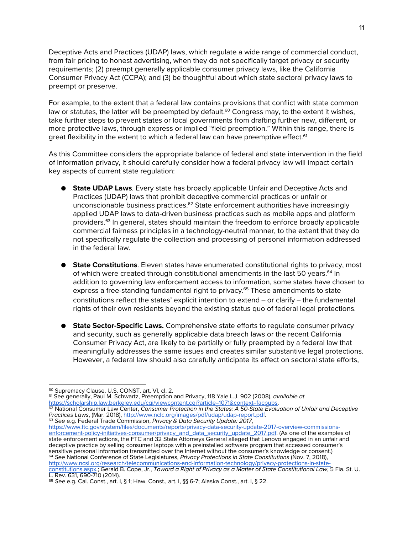Deceptive Acts and Practices (UDAP) laws, which regulate a wide range of commercial conduct, from fair pricing to honest advertising, when they do not specifically target privacy or security requirements; (2) preempt generally applicable consumer privacy laws, like the California Consumer Privacy Act (CCPA); and (3) be thoughtful about which state sectoral privacy laws to preempt or preserve.

For example, to the extent that a federal law contains provisions that conflict with state common law or statutes, the latter will be preempted by default.<sup>60</sup> Congress may, to the extent it wishes, take further steps to prevent states or local governments from drafting further new, different, or more protective laws, through express or implied "field preemption." Within this range, there is great flexibility in the extent to which a federal law can have preemptive effect.<sup>61</sup>

As this Committee considers the appropriate balance of federal and state intervention in the field of information privacy, it should carefully consider how a federal privacy law will impact certain key aspects of current state regulation:

- **State UDAP Laws**. Every state has broadly applicable Unfair and Deceptive Acts and Practices (UDAP) laws that prohibit deceptive commercial practices or unfair or unconscionable business practices.<sup>62</sup> State enforcement authorities have increasingly applied UDAP laws to data-driven business practices such as mobile apps and platform providers.<sup>63</sup> In general, states should maintain the freedom to enforce broadly applicable commercial fairness principles in a technology-neutral manner, to the extent that they do not specifically regulate the collection and processing of personal information addressed in the federal law.
- **State Constitutions**. Eleven states have enumerated constitutional rights to privacy, most of which were created through constitutional amendments in the last 50 years.<sup>64</sup> In addition to governing law enforcement access to information, some states have chosen to express a free-standing fundamental right to privacy.<sup>65</sup> These amendments to state constitutions reflect the states' explicit intention to extend  $-$  or clarify  $-$  the fundamental rights of their own residents beyond the existing status quo of federal legal protections.
- **State Sector-Specific Laws.** Comprehensive state efforts to regulate consumer privacy and security, such as generally applicable data breach laws or the recent California Consumer Privacy Act, are likely to be partially or fully preempted by a federal law that meaningfully addresses the same issues and creates similar substantive legal protections. However, a federal law should also carefully anticipate its effect on sectoral state efforts,

<sup>61</sup> See generally, Paul M. Schwartz, Preemption and Privacy, 118 Yale L.J. 902 (2008), *available at* https://scholarship.law.berkeley.edu/cgi/viewcontent.cgi?article=1071&context=facpubs.

<sup>62</sup> National Consumer Law Center, *Consumer Protection in the States: A 50-State Evaluation of Unfair and Deceptive Practices Laws*, (Mar. 2018), http://www.nclc.org/images/pdf/udap/udap-report.pdf.<br><sup>63</sup> See e.g. Federal Trade Commission, Privacy & Data Security Update: 2017,

https://www.ftc.gov/system/files/documents/reports/privacy-data-security-update-2017-overview-commissions-<br>enforcement-policy-initiatives-consumer/privacy\_and\_data\_security\_update\_2017.pdf. (As one of the examples of state enforcement actions, the FTC and 32 State Attorneys General alleged that Lenovo engaged in an unfair and deceptive practice by selling consumer laptops with a preinstalled software program that accessed consumer's sensitive personal information transmitted over the Internet without the consumer's knowledge or consent.) <sup>64</sup> See National Conference of State Legislatures, *Privacy Protections in State Constitutions* (Nov. 7, 2018), http://www.ncsl.org/research/telecommunications-and-information-technology/privacy-protections-in-stateconstitutions.aspx.; Gerald B. Cope, Jr., Toward a Right of Privacy as a Matter of State Constitutional Law, 5 Fla. St. U. L. Rev. 631, 690-710 (2014).

 <sup>60</sup> Supremacy Clause, U.S. CONST. art. VI, cl. 2.

<sup>65</sup> *See* e.g. Cal. Const., art. I, § 1; Haw. Const., art. I, §§ 6-7; Alaska Const., art. I, § 22.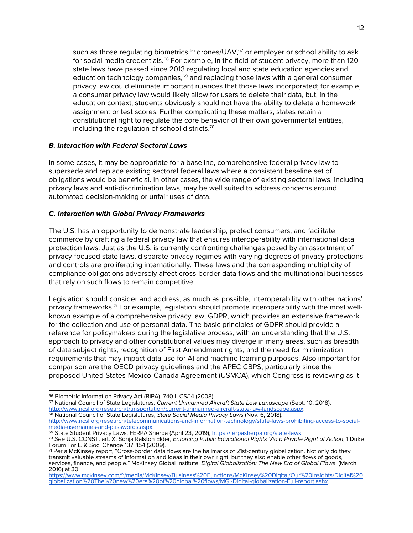such as those regulating biometrics,<sup>66</sup> drones/UAV,<sup>67</sup> or employer or school ability to ask for social media credentials.<sup>68</sup> For example, in the field of student privacy, more than 120 state laws have passed since 2013 regulating local and state education agencies and education technology companies,<sup>69</sup> and replacing those laws with a general consumer privacy law could eliminate important nuances that those laws incorporated; for example, a consumer privacy law would likely allow for users to delete their data, but, in the education context, students obviously should not have the ability to delete a homework assignment or test scores. Further complicating these matters, states retain a constitutional right to regulate the core behavior of their own governmental entities, including the regulation of school districts.70

## *B. Interaction with Federal Sectoral Laws*

In some cases, it may be appropriate for a baseline, comprehensive federal privacy law to supersede and replace existing sectoral federal laws where a consistent baseline set of obligations would be beneficial. In other cases, the wide range of existing sectoral laws, including privacy laws and anti-discrimination laws, may be well suited to address concerns around automated decision-making or unfair uses of data.

## *C. Interaction with Global Privacy Frameworks*

The U.S. has an opportunity to demonstrate leadership, protect consumers, and facilitate commerce by crafting a federal privacy law that ensures interoperability with international data protection laws. Just as the U.S. is currently confronting challenges posed by an assortment of privacy-focused state laws, disparate privacy regimes with varying degrees of privacy protections and controls are proliferating internationally. These laws and the corresponding multiplicity of compliance obligations adversely affect cross-border data flows and the multinational businesses that rely on such flows to remain competitive.

Legislation should consider and address, as much as possible, interoperability with other nations' privacy frameworks.71 For example, legislation should promote interoperability with the most wellknown example of a comprehensive privacy law, GDPR, which provides an extensive framework for the collection and use of personal data. The basic principles of GDPR should provide a reference for policymakers during the legislative process, with an understanding that the U.S. approach to privacy and other constitutional values may diverge in many areas, such as breadth of data subject rights, recognition of First Amendment rights, and the need for minimization requirements that may impact data use for AI and machine learning purposes. Also important for comparison are the OECD privacy guidelines and the APEC CBPS, particularly since the proposed United States-Mexico-Canada Agreement (USMCA), which Congress is reviewing as it

67 National Council of State Legislatures, *Current Unmanned Aircraft State Law Landscape* (Sept. 10, 2018).<br>http://www.ncsl.org/research/transportation/current-unmanned-aircraft-state-law-landscape.aspx. <sup>68</sup> National Council of State Legislatures, *State Social Media Privacy Laws* (Nov. 6, 2018).<br>http://www.ncsl.org/research/telecommunications-and-information-technology/state-laws-prohibiting-access-to-social-

<sup>&</sup>lt;sup>66</sup> Biometric Information Privacy Act (BIPA), 740 ILCS/14 (2008).

media-usernames-and-passwords.aspx.<br>
<sup>69</sup> State Student Privacy Laws, FERPAlSherpa (April 23, 2019), https://ferpasherpa.org/state-laws.<br>
<sup>70</sup> See U.S. CONST. art. X; Sonja Ralston Elder, *Enforcing Public Educational Righ* Forum For L. & Soc. Change 137, 154 (2009).

<sup>71</sup> Per a McKinsey report, "Cross-border data flows are the hallmarks of 21st-century globalization. Not only do they transmit valuable streams of information and ideas in their own right, but they also enable other flows of goods, services, finance, and people." McKinsey Global Institute, *Digital Globalization: The New Era of Global Flows*, (March 2016) at 30,

https://www.mckinsey.com/~/media/McKinsey/Business%20Functions/McKinsey%20Digital/Our%20Insights/Digital%20 globalization%20The%20new%20era%20of%20global%20flows/MGI-Digital-globalization-Full-report.ashx.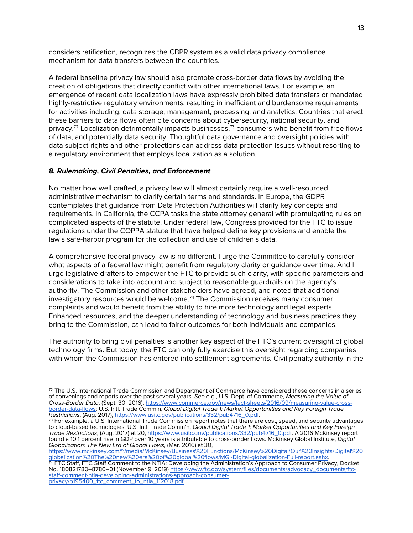considers ratification, recognizes the CBPR system as a valid data privacy compliance mechanism for data-transfers between the countries.

A federal baseline privacy law should also promote cross-border data flows by avoiding the creation of obligations that directly conflict with other international laws. For example, an emergence of recent data localization laws have expressly prohibited data transfers or mandated highly-restrictive regulatory environments, resulting in inefficient and burdensome requirements for activities including: data storage, management, processing, and analytics. Countries that erect these barriers to data flows often cite concerns about cybersecurity, national security, and privacy.<sup>72</sup> Localization detrimentally impacts businesses,<sup>73</sup> consumers who benefit from free flows of data, and potentially data security. Thoughtful data governance and oversight policies with data subject rights and other protections can address data protection issues without resorting to a regulatory environment that employs localization as a solution.

### *8. Rulemaking, Civil Penalties, and Enforcement*

No matter how well crafted, a privacy law will almost certainly require a well-resourced administrative mechanism to clarify certain terms and standards. In Europe, the GDPR contemplates that guidance from Data Protection Authorities will clarify key concepts and requirements. In California, the CCPA tasks the state attorney general with promulgating rules on complicated aspects of the statute. Under federal law, Congress provided for the FTC to issue regulations under the COPPA statute that have helped define key provisions and enable the law's safe-harbor program for the collection and use of children's data.

A comprehensive federal privacy law is no different. I urge the Committee to carefully consider what aspects of a federal law might benefit from regulatory clarity or guidance over time. And I urge legislative drafters to empower the FTC to provide such clarity, with specific parameters and considerations to take into account and subject to reasonable guardrails on the agency's authority. The Commission and other stakeholders have agreed, and noted that additional investigatory resources would be welcome.74 The Commission receives many consumer complaints and would benefit from the ability to hire more technology and legal experts. Enhanced resources, and the deeper understanding of technology and business practices they bring to the Commission, can lead to fairer outcomes for both individuals and companies.

The authority to bring civil penalties is another key aspect of the FTC's current oversight of global technology firms. But today, the FTC can only fully exercise this oversight regarding companies with whom the Commission has entered into settlement agreements. Civil penalty authority in the

https://www.mckinsey.com/~/media/McKinsey/Business%20Functions/McKinsey%20Digital/Our%20Insights/Digital%20 globalization%20The%20new%20era%20of%20global%20flows/MGI-Digital-globalization-Full-report.ashx.

<sup>74</sup> FTC Staff, FTC Staff Comment to the NTIA: Developing the Administration's Approach to Consumer Privacy, Docket No. 180821780–8780–01 (November 9, 2019) https://www.ftc.gov/system/files/documents/advocacy\_documents/ftc-<br>staff-comment-ntia-developing-administrations-approach-consumer-<br>privacy/p195400\_ftc\_comment\_to\_ntia\_112018.pdf.

 $72$  The U.S. International Trade Commission and Department of Commerce have considered these concerns in a series of convenings and reports over the past several years. *See* e.g., U.S. Dept. of Commerce, *Measuring the Value of*  border-data-flows; U.S. Intl. Trade Comm'n, Global Digital Trade 1: Market Opportunities and Key Foreign Trade<br>Restrictions, (Aug. 2017), https://www.usitc.gov/publications/332/pub4716\_0.pdf.

<sup>&</sup>lt;sup>73</sup> For example, a U.S. International Trade Commission report notes that there are cost, speed, and security advantages to cloud-based technologies. U.S. Intl. Trade Comm'n, *Global Digital Trade 1: Market Opportunities and Key Foreign Trade Restrictions*, (Aug. 2017) at 20, https://www.usitc.gov/publications/332/pub4716\_0.pdf. A 2016 McKinsey report found a 10.1 percent rise in GDP over 10 years is attributable to cross-border flows. McKinsey Global Institute, *Digital Globalization: The New Era of Global Flows*, (Mar. 2016) at 30,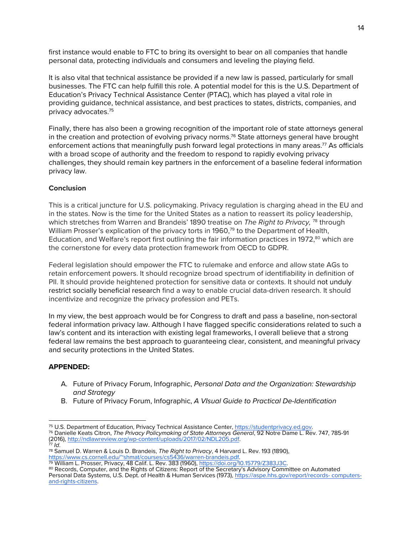first instance would enable to FTC to bring its oversight to bear on all companies that handle personal data, protecting individuals and consumers and leveling the playing field.

It is also vital that technical assistance be provided if a new law is passed, particularly for small businesses. The FTC can help fulfill this role. A potential model for this is the U.S. Department of Education's Privacy Technical Assistance Center (PTAC), which has played a vital role in providing guidance, technical assistance, and best practices to states, districts, companies, and privacy advocates.75

Finally, there has also been a growing recognition of the important role of state attorneys general in the creation and protection of evolving privacy norms.76 State attorneys general have brought enforcement actions that meaningfully push forward legal protections in many areas.<sup>77</sup> As officials with a broad scope of authority and the freedom to respond to rapidly evolving privacy challenges, they should remain key partners in the enforcement of a baseline federal information privacy law.

## **Conclusion**

This is a critical juncture for U.S. policymaking. Privacy regulation is charging ahead in the EU and in the states. Now is the time for the United States as a nation to reassert its policy leadership, which stretches from Warren and Brandeis' 1890 treatise on *The Right to Privacy,* <sup>78</sup> through William Prosser's explication of the privacy torts in 1960,<sup>79</sup> to the Department of Health, Education, and Welfare's report first outlining the fair information practices in 1972,<sup>80</sup> which are the cornerstone for every data protection framework from OECD to GDPR.

Federal legislation should empower the FTC to rulemake and enforce and allow state AGs to retain enforcement powers. It should recognize broad spectrum of identifiability in definition of PII. It should provide heightened protection for sensitive data or contexts. It should not unduly restrict socially beneficial research find a way to enable crucial data-driven research. It should incentivize and recognize the privacy profession and PETs.

In my view, the best approach would be for Congress to draft and pass a baseline, non-sectoral federal information privacy law. Although I have flagged specific considerations related to such a law's content and its interaction with existing legal frameworks, I overall believe that a strong federal law remains the best approach to guaranteeing clear, consistent, and meaningful privacy and security protections in the United States.

## **APPENDED:**

- A. Future of Privacy Forum, Infographic, *Personal Data and the Organization: Stewardship and Strategy*
- B. Future of Privacy Forum, Infographic, *A VIsual Guide to Practical De-Identification*

80 Records, Computer, and the Rights of Citizens: Report of the Secretary's Advisory Committee on Automated Personal Data Systems, U.S. Dept. of Health & Human Services (1973), https://aspe.hhs.gov/report/records- computers-<br>and-rights-citizens.

<sup>75</sup> U.S. Department of Education, Privacy Technical Assistance Center, https://studentprivacy.ed.gov. 76 Danielle Keats Citron, *The Privacy Policymaking of State Attorneys General*, 92 Notre Dame L. Rev. 747, 785-91

<sup>(2016),</sup> http://ndlawreview.org/wp-content/uploads/2017/02/NDL205.pdf. 77 *Id*.

<sup>78</sup> Samuel D. Warren & Louis D. Brandeis, *The Right to Privacy*, 4 Harvard L. Rev. 193 (1890), https://www.cs.cornell.edu/~shmat/courses/cs5436/warren-brandeis.pdf.

<sup>79</sup> William L. Prosser, Privacy, 48 Calif. L. Rev. 383 (1960), https://doi.org/10.15779/Z383J3C.